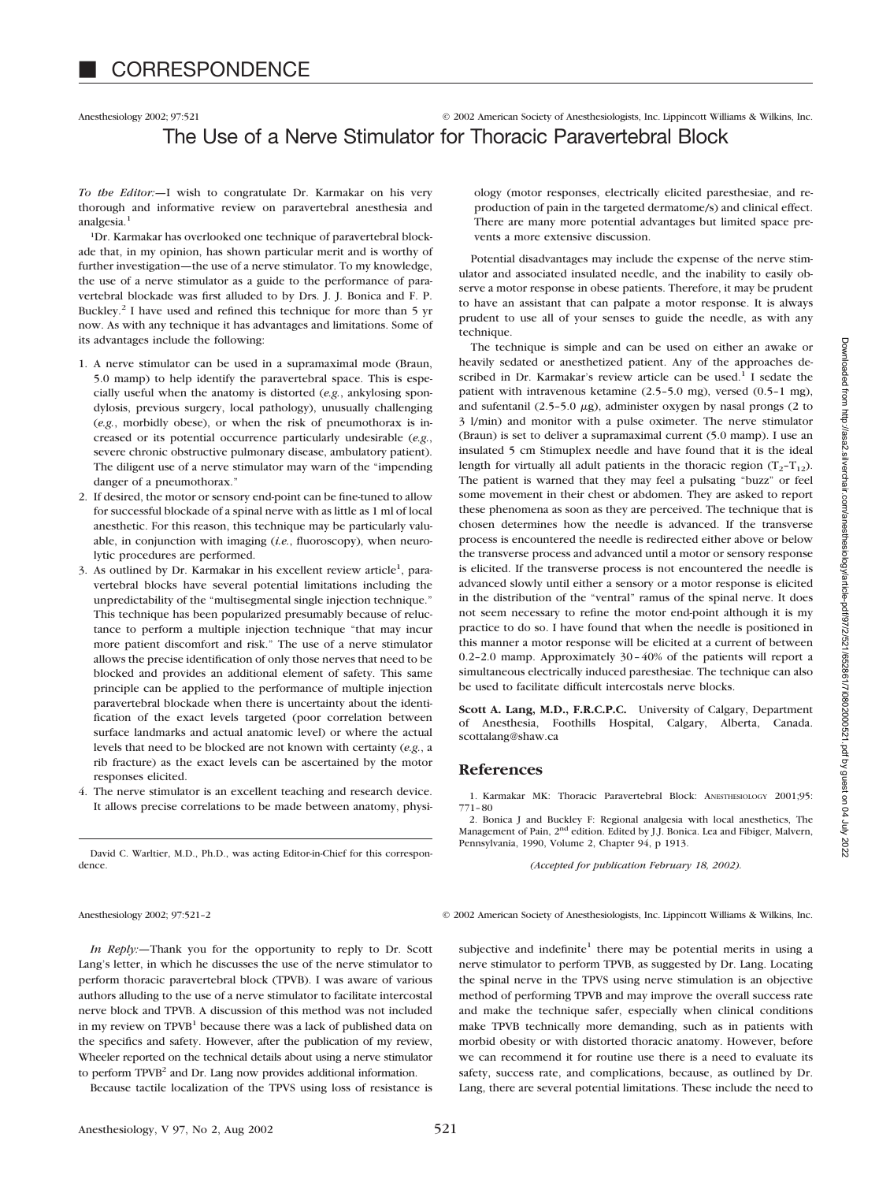## Anesthesiology 2002; 97:521 © 2002 American Society of Anesthesiologists, Inc. Lippincott Williams & Wilkins, Inc. The Use of a Nerve Stimulator for Thoracic Paravertebral Block

*To the Editor:—*I wish to congratulate Dr. Karmakar on his very thorough and informative review on paravertebral anesthesia and analgesia<sup>1</sup>

1Dr. Karmakar has overlooked one technique of paravertebral blockade that, in my opinion, has shown particular merit and is worthy of further investigation—the use of a nerve stimulator. To my knowledge, the use of a nerve stimulator as a guide to the performance of paravertebral blockade was first alluded to by Drs. J. J. Bonica and F. P. Buckley.2 I have used and refined this technique for more than 5 yr now. As with any technique it has advantages and limitations. Some of its advantages include the following:

- 1. A nerve stimulator can be used in a supramaximal mode (Braun, 5.0 mamp) to help identify the paravertebral space. This is especially useful when the anatomy is distorted (*e.g.*, ankylosing spondylosis, previous surgery, local pathology), unusually challenging (*e.g.*, morbidly obese), or when the risk of pneumothorax is increased or its potential occurrence particularly undesirable (*e.g.*, severe chronic obstructive pulmonary disease, ambulatory patient). The diligent use of a nerve stimulator may warn of the "impending danger of a pneumothorax."
- 2. If desired, the motor or sensory end-point can be fine-tuned to allow for successful blockade of a spinal nerve with as little as 1 ml of local anesthetic. For this reason, this technique may be particularly valuable, in conjunction with imaging (*i.e.*, fluoroscopy), when neurolytic procedures are performed.
- 3. As outlined by Dr. Karmakar in his excellent review article<sup>1</sup>, paravertebral blocks have several potential limitations including the unpredictability of the "multisegmental single injection technique." This technique has been popularized presumably because of reluctance to perform a multiple injection technique "that may incur more patient discomfort and risk." The use of a nerve stimulator allows the precise identification of only those nerves that need to be blocked and provides an additional element of safety. This same principle can be applied to the performance of multiple injection paravertebral blockade when there is uncertainty about the identification of the exact levels targeted (poor correlation between surface landmarks and actual anatomic level) or where the actual levels that need to be blocked are not known with certainty (*e.g.*, a rib fracture) as the exact levels can be ascertained by the motor responses elicited.
- 4. The nerve stimulator is an excellent teaching and research device. It allows precise correlations to be made between anatomy, physi-

David C. Warltier, M.D., Ph.D., was acting Editor-in-Chief for this correspondence.

ology (motor responses, electrically elicited paresthesiae, and reproduction of pain in the targeted dermatome/s) and clinical effect. There are many more potential advantages but limited space prevents a more extensive discussion.

Potential disadvantages may include the expense of the nerve stimulator and associated insulated needle, and the inability to easily observe a motor response in obese patients. Therefore, it may be prudent to have an assistant that can palpate a motor response. It is always prudent to use all of your senses to guide the needle, as with any technique.

The technique is simple and can be used on either an awake or heavily sedated or anesthetized patient. Any of the approaches described in Dr. Karmakar's review article can be used.<sup>1</sup> I sedate the patient with intravenous ketamine (2.5–5.0 mg), versed (0.5–1 mg), and sufentanil (2.5–5.0  $\mu$ g), administer oxygen by nasal prongs (2 to 3 l/min) and monitor with a pulse oximeter. The nerve stimulator (Braun) is set to deliver a supramaximal current (5.0 mamp). I use an insulated 5 cm Stimuplex needle and have found that it is the ideal length for virtually all adult patients in the thoracic region  $(T_2-T_{12})$ . The patient is warned that they may feel a pulsating "buzz" or feel some movement in their chest or abdomen. They are asked to report these phenomena as soon as they are perceived. The technique that is chosen determines how the needle is advanced. If the transverse process is encountered the needle is redirected either above or below the transverse process and advanced until a motor or sensory response is elicited. If the transverse process is not encountered the needle is advanced slowly until either a sensory or a motor response is elicited in the distribution of the "ventral" ramus of the spinal nerve. It does not seem necessary to refine the motor end-point although it is my practice to do so. I have found that when the needle is positioned in this manner a motor response will be elicited at a current of between 0.2–2.0 mamp. Approximately 30–40% of the patients will report a simultaneous electrically induced paresthesiae. The technique can also be used to facilitate difficult intercostals nerve blocks.

**Scott A. Lang, M.D., F.R.C.P.C.** University of Calgary, Department of Anesthesia, Foothills Hospital, Calgary, Alberta, Canada. scottalang@shaw.ca

## **References**

1. Karmakar MK: Thoracic Paravertebral Block: ANESTHESIOLOGY 2001;95: 771–80

2. Bonica J and Buckley F: Regional analgesia with local anesthetics, The Management of Pain, 2<sup>nd</sup> edition. Edited by J.J. Bonica. Lea and Fibiger, Malvern, Pennsylvania, 1990, Volume 2, Chapter 94, p 1913.

*(Accepted for publication February 18, 2002).*

Anesthesiology 2002; 97:521-2 © 2002 American Society of Anesthesiologists, Inc. Lippincott Williams & Wilkins, Inc.

*In Reply:—*Thank you for the opportunity to reply to Dr. Scott Lang's letter, in which he discusses the use of the nerve stimulator to perform thoracic paravertebral block (TPVB). I was aware of various authors alluding to the use of a nerve stimulator to facilitate intercostal nerve block and TPVB. A discussion of this method was not included in my review on TPVB<sup>1</sup> because there was a lack of published data on the specifics and safety. However, after the publication of my review, Wheeler reported on the technical details about using a nerve stimulator to perform TPVB<sup>2</sup> and Dr. Lang now provides additional information.

Because tactile localization of the TPVS using loss of resistance is

subjective and indefinite<sup>1</sup> there may be potential merits in using a nerve stimulator to perform TPVB, as suggested by Dr. Lang. Locating the spinal nerve in the TPVS using nerve stimulation is an objective method of performing TPVB and may improve the overall success rate and make the technique safer, especially when clinical conditions make TPVB technically more demanding, such as in patients with morbid obesity or with distorted thoracic anatomy. However, before we can recommend it for routine use there is a need to evaluate its safety, success rate, and complications, because, as outlined by Dr. Lang, there are several potential limitations. These include the need to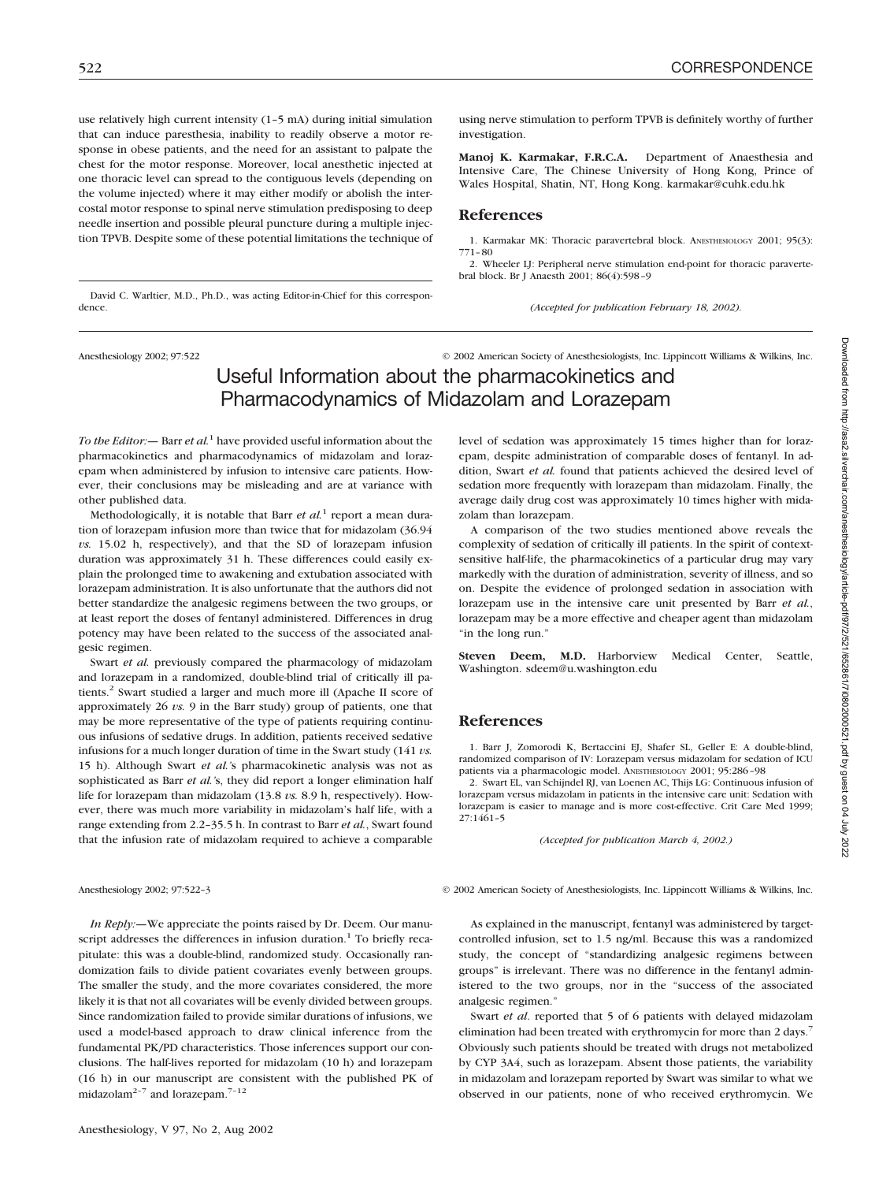dence.

use relatively high current intensity (1–5 mA) during initial simulation that can induce paresthesia, inability to readily observe a motor response in obese patients, and the need for an assistant to palpate the chest for the motor response. Moreover, local anesthetic injected at one thoracic level can spread to the contiguous levels (depending on the volume injected) where it may either modify or abolish the intercostal motor response to spinal nerve stimulation predisposing to deep needle insertion and possible pleural puncture during a multiple injection TPVB. Despite some of these potential limitations the technique of

David C. Warltier, M.D., Ph.D., was acting Editor-in-Chief for this correspon-

using nerve stimulation to perform TPVB is definitely worthy of further investigation.

**Manoj K. Karmakar, F.R.C.A.** Department of Anaesthesia and Intensive Care, The Chinese University of Hong Kong, Prince of Wales Hospital, Shatin, NT, Hong Kong. karmakar@cuhk.edu.hk

## **References**

1. Karmakar MK: Thoracic paravertebral block. ANESTHESIOLOGY 2001; 95(3): 771–80

2. Wheeler LJ: Peripheral nerve stimulation end-point for thoracic paravertebral block. Br J Anaesth 2001; 86(4):598–9

*(Accepted for publication February 18, 2002).*

Anesthesiology 2002; 97:522 © 2002 American Society of Anesthesiologists, Inc. Lippincott Williams & Wilkins, Inc.

# Useful Information about the pharmacokinetics and Pharmacodynamics of Midazolam and Lorazepam

*To the Editor:—* Barr *et al.*<sup>1</sup> have provided useful information about the pharmacokinetics and pharmacodynamics of midazolam and lorazepam when administered by infusion to intensive care patients. However, their conclusions may be misleading and are at variance with other published data.

Methodologically, it is notable that Barr *et al.*<sup>1</sup> report a mean duration of lorazepam infusion more than twice that for midazolam (36.94 *vs.* 15.02 h, respectively), and that the SD of lorazepam infusion duration was approximately 31 h. These differences could easily explain the prolonged time to awakening and extubation associated with lorazepam administration. It is also unfortunate that the authors did not better standardize the analgesic regimens between the two groups, or at least report the doses of fentanyl administered. Differences in drug potency may have been related to the success of the associated analgesic regimen.

Swart *et al.* previously compared the pharmacology of midazolam and lorazepam in a randomized, double-blind trial of critically ill patients.<sup>2</sup> Swart studied a larger and much more ill (Apache II score of approximately 26 *vs.* 9 in the Barr study) group of patients, one that may be more representative of the type of patients requiring continuous infusions of sedative drugs. In addition, patients received sedative infusions for a much longer duration of time in the Swart study (141 *vs.* 15 h). Although Swart *et al.'*s pharmacokinetic analysis was not as sophisticated as Barr *et al.'*s, they did report a longer elimination half life for lorazepam than midazolam (13.8 *vs.* 8.9 h, respectively). However, there was much more variability in midazolam's half life, with a range extending from 2.2–35.5 h. In contrast to Barr *et al.*, Swart found that the infusion rate of midazolam required to achieve a comparable

*In Reply:—*We appreciate the points raised by Dr. Deem. Our manuscript addresses the differences in infusion duration.<sup>1</sup> To briefly recapitulate: this was a double-blind, randomized study. Occasionally randomization fails to divide patient covariates evenly between groups. The smaller the study, and the more covariates considered, the more likely it is that not all covariates will be evenly divided between groups. Since randomization failed to provide similar durations of infusions, we used a model-based approach to draw clinical inference from the fundamental PK/PD characteristics. Those inferences support our conclusions. The half-lives reported for midazolam (10 h) and lorazepam (16 h) in our manuscript are consistent with the published PK of midazolam<sup>2-7</sup> and lorazepam.<sup>7-12</sup>

level of sedation was approximately 15 times higher than for lorazepam, despite administration of comparable doses of fentanyl. In addition, Swart *et al.* found that patients achieved the desired level of sedation more frequently with lorazepam than midazolam. Finally, the average daily drug cost was approximately 10 times higher with midazolam than lorazepam.

A comparison of the two studies mentioned above reveals the complexity of sedation of critically ill patients. In the spirit of contextsensitive half-life, the pharmacokinetics of a particular drug may vary markedly with the duration of administration, severity of illness, and so on. Despite the evidence of prolonged sedation in association with lorazepam use in the intensive care unit presented by Barr *et al.*, lorazepam may be a more effective and cheaper agent than midazolam "in the long run."

**Steven Deem, M.D.** Harborview Medical Center, Seattle, Washington. sdeem@u.washington.edu

### **References**

1. Barr J, Zomorodi K, Bertaccini EJ, Shafer SL, Geller E: A double-blind, randomized comparison of IV: Lorazepam versus midazolam for sedation of ICU patients via a pharmacologic model. ANESTHESIOLOGY 2001; 95:286–98

2. Swart EL, van Schijndel RJ, van Loenen AC, Thijs LG: Continuous infusion of lorazepam versus midazolam in patients in the intensive care unit: Sedation with lorazepam is easier to manage and is more cost-effective. Crit Care Med 1999; 27:1461–5

*(Accepted for publication March 4, 2002.)*

Anesthesiology 2002; 97:522-3 © 2002 American Society of Anesthesiologists, Inc. Lippincott Williams & Wilkins, Inc.

As explained in the manuscript, fentanyl was administered by targetcontrolled infusion, set to 1.5 ng/ml. Because this was a randomized study, the concept of "standardizing analgesic regimens between groups" is irrelevant. There was no difference in the fentanyl administered to the two groups, nor in the "success of the associated analgesic regimen."

Swart *et al*. reported that 5 of 6 patients with delayed midazolam elimination had been treated with erythromycin for more than 2 days.<sup>7</sup> Obviously such patients should be treated with drugs not metabolized by CYP 3A4, such as lorazepam. Absent those patients, the variability in midazolam and lorazepam reported by Swart was similar to what we observed in our patients, none of who received erythromycin. We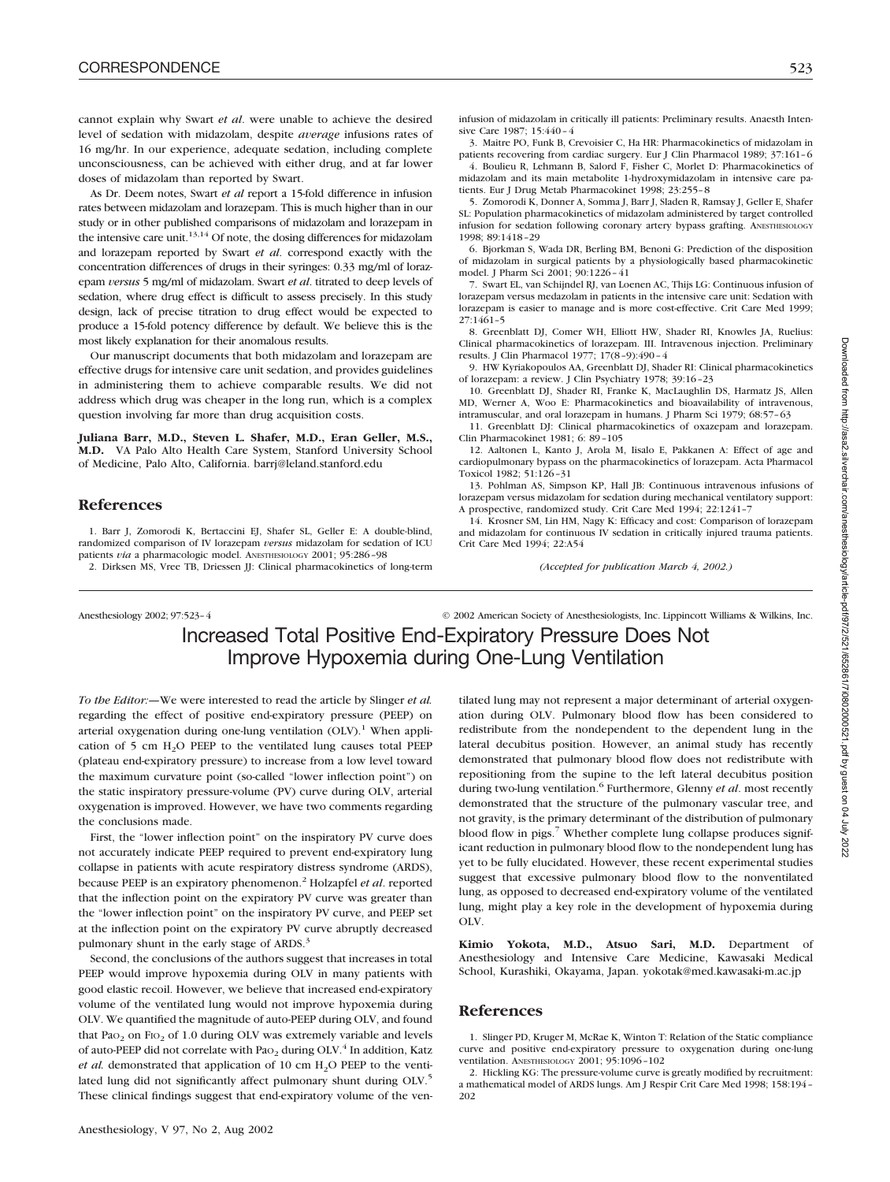cannot explain why Swart *et al*. were unable to achieve the desired level of sedation with midazolam, despite *average* infusions rates of 16 mg/hr. In our experience, adequate sedation, including complete unconsciousness, can be achieved with either drug, and at far lower doses of midazolam than reported by Swart.

As Dr. Deem notes, Swart *et al* report a 15-fold difference in infusion rates between midazolam and lorazepam. This is much higher than in our study or in other published comparisons of midazolam and lorazepam in the intensive care unit. $13,14$  Of note, the dosing differences for midazolam and lorazepam reported by Swart *et al*. correspond exactly with the concentration differences of drugs in their syringes: 0.33 mg/ml of lorazepam *versus* 5 mg/ml of midazolam. Swart *et al*. titrated to deep levels of sedation, where drug effect is difficult to assess precisely. In this study design, lack of precise titration to drug effect would be expected to produce a 15-fold potency difference by default. We believe this is the most likely explanation for their anomalous results.

Our manuscript documents that both midazolam and lorazepam are effective drugs for intensive care unit sedation, and provides guidelines in administering them to achieve comparable results. We did not address which drug was cheaper in the long run, which is a complex question involving far more than drug acquisition costs.

**Juliana Barr, M.D., Steven L. Shafer, M.D., Eran Geller, M.S., M.D.** VA Palo Alto Health Care System, Stanford University School of Medicine, Palo Alto, California. barrj@leland.stanford.edu

## **References**

1. Barr J, Zomorodi K, Bertaccini EJ, Shafer SL, Geller E: A double-blind, randomized comparison of IV lorazepam *versus* midazolam for sedation of ICU patients *via* a pharmacologic model. ANESTHESIOLOGY 2001; 95:286–98

2. Dirksen MS, Vree TB, Driessen JJ: Clinical pharmacokinetics of long-term

infusion of midazolam in critically ill patients: Preliminary results. Anaesth Intensive Care 1987; 15:440–4

3. Maitre PO, Funk B, Crevoisier C, Ha HR: Pharmacokinetics of midazolam in patients recovering from cardiac surgery. Eur J Clin Pharmacol 1989; 37:161–6 4. Boulieu R, Lehmann B, Salord F, Fisher C, Morlet D: Pharmacokinetics of

midazolam and its main metabolite 1-hydroxymidazolam in intensive care patients. Eur J Drug Metab Pharmacokinet 1998; 23:255–8

5. Zomorodi K, Donner A, Somma J, Barr J, Sladen R, Ramsay J, Geller E, Shafer SL: Population pharmacokinetics of midazolam administered by target controlled infusion for sedation following coronary artery bypass grafting. ANESTHESIOLOGY 1998; 89:1418–29

6. Bjorkman S, Wada DR, Berling BM, Benoni G: Prediction of the disposition of midazolam in surgical patients by a physiologically based pharmacokinetic model. J Pharm Sci 2001; 90:1226–41

7. Swart EL, van Schijndel RJ, van Loenen AC, Thijs LG: Continuous infusion of lorazepam versus medazolam in patients in the intensive care unit: Sedation with lorazepam is easier to manage and is more cost-effective. Crit Care Med 1999; 27:1461–5

8. Greenblatt DJ, Comer WH, Elliott HW, Shader RI, Knowles JA, Ruelius: Clinical pharmacokinetics of lorazepam. III. Intravenous injection. Preliminary results. J Clin Pharmacol 1977; 17(8–9):490–4

9. HW Kyriakopoulos AA, Greenblatt DJ, Shader RI: Clinical pharmacokinetics of lorazepam: a review. J Clin Psychiatry 1978; 39:16–23

10. Greenblatt DJ, Shader RI, Franke K, MacLaughlin DS, Harmatz JS, Allen MD, Werner A, Woo E: Pharmacokinetics and bioavailability of intravenous, intramuscular, and oral lorazepam in humans. J Pharm Sci 1979; 68:57–63

11. Greenblatt DJ: Clinical pharmacokinetics of oxazepam and lorazepam. Clin Pharmacokinet 1981; 6: 89–105

12. Aaltonen L, Kanto J, Arola M, Iisalo E, Pakkanen A: Effect of age and cardiopulmonary bypass on the pharmacokinetics of lorazepam. Acta Pharmacol Toxicol 1982; 51:126–31

13. Pohlman AS, Simpson KP, Hall JB: Continuous intravenous infusions of lorazepam versus midazolam for sedation during mechanical ventilatory support: A prospective, randomized study. Crit Care Med 1994; 22:1241–7

14. Krosner SM, Lin HM, Nagy K: Efficacy and cost: Comparison of lorazepam and midazolam for continuous IV sedation in critically injured trauma patients. Crit Care Med 1994; 22:A54

*(Accepted for publication March 4, 2002.)*

Anesthesiology 2002; 97:523–4 © 2002 American Society of Anesthesiologists, Inc. Lippincott Williams & Wilkins, Inc. Increased Total Positive End-Expiratory Pressure Does Not Improve Hypoxemia during One-Lung Ventilation

*To the Editor:—*We were interested to read the article by Slinger *et al.* regarding the effect of positive end-expiratory pressure (PEEP) on arterial oxygenation during one-lung ventilation  $(OLV)$ .<sup>1</sup> When application of 5 cm  $H_2O$  PEEP to the ventilated lung causes total PEEP (plateau end-expiratory pressure) to increase from a low level toward the maximum curvature point (so-called "lower inflection point") on the static inspiratory pressure-volume (PV) curve during OLV, arterial oxygenation is improved. However, we have two comments regarding the conclusions made.

First, the "lower inflection point" on the inspiratory PV curve does not accurately indicate PEEP required to prevent end-expiratory lung collapse in patients with acute respiratory distress syndrome (ARDS), because PEEP is an expiratory phenomenon.2 Holzapfel *et al*. reported that the inflection point on the expiratory PV curve was greater than the "lower inflection point" on the inspiratory PV curve, and PEEP set at the inflection point on the expiratory PV curve abruptly decreased pulmonary shunt in the early stage of ARDS.<sup>3</sup>

Second, the conclusions of the authors suggest that increases in total PEEP would improve hypoxemia during OLV in many patients with good elastic recoil. However, we believe that increased end-expiratory volume of the ventilated lung would not improve hypoxemia during OLV. We quantified the magnitude of auto-PEEP during OLV, and found that Pa $o_2$  on Fi $o_2$  of 1.0 during OLV was extremely variable and levels of auto-PEEP did not correlate with Pa $_{2}$  during OLV.<sup>4</sup> In addition, Katz *et al.* demonstrated that application of 10 cm  $H_2O$  PEEP to the ventilated lung did not significantly affect pulmonary shunt during OLV.<sup>5</sup> These clinical findings suggest that end-expiratory volume of the ven-

tilated lung may not represent a major determinant of arterial oxygenation during OLV. Pulmonary blood flow has been considered to redistribute from the nondependent to the dependent lung in the lateral decubitus position. However, an animal study has recently demonstrated that pulmonary blood flow does not redistribute with repositioning from the supine to the left lateral decubitus position during two-lung ventilation.<sup>6</sup> Furthermore, Glenny *et al.* most recently demonstrated that the structure of the pulmonary vascular tree, and not gravity, is the primary determinant of the distribution of pulmonary blood flow in pigs.<sup>7</sup> Whether complete lung collapse produces significant reduction in pulmonary blood flow to the nondependent lung has yet to be fully elucidated. However, these recent experimental studies suggest that excessive pulmonary blood flow to the nonventilated lung, as opposed to decreased end-expiratory volume of the ventilated lung, might play a key role in the development of hypoxemia during OLV.

**Kimio Yokota, M.D., Atsuo Sari, M.D.** Department of Anesthesiology and Intensive Care Medicine, Kawasaki Medical School, Kurashiki, Okayama, Japan. yokotak@med.kawasaki-m.ac.jp

### **References**

1. Slinger PD, Kruger M, McRae K, Winton T: Relation of the Static compliance curve and positive end-expiratory pressure to oxygenation during one-lung ventilation. ANESTHESIOLOGY 2001; 95:1096–102

2. Hickling KG: The pressure-volume curve is greatly modified by recruitment: a mathematical model of ARDS lungs. Am J Respir Crit Care Med 1998; 158:194– 202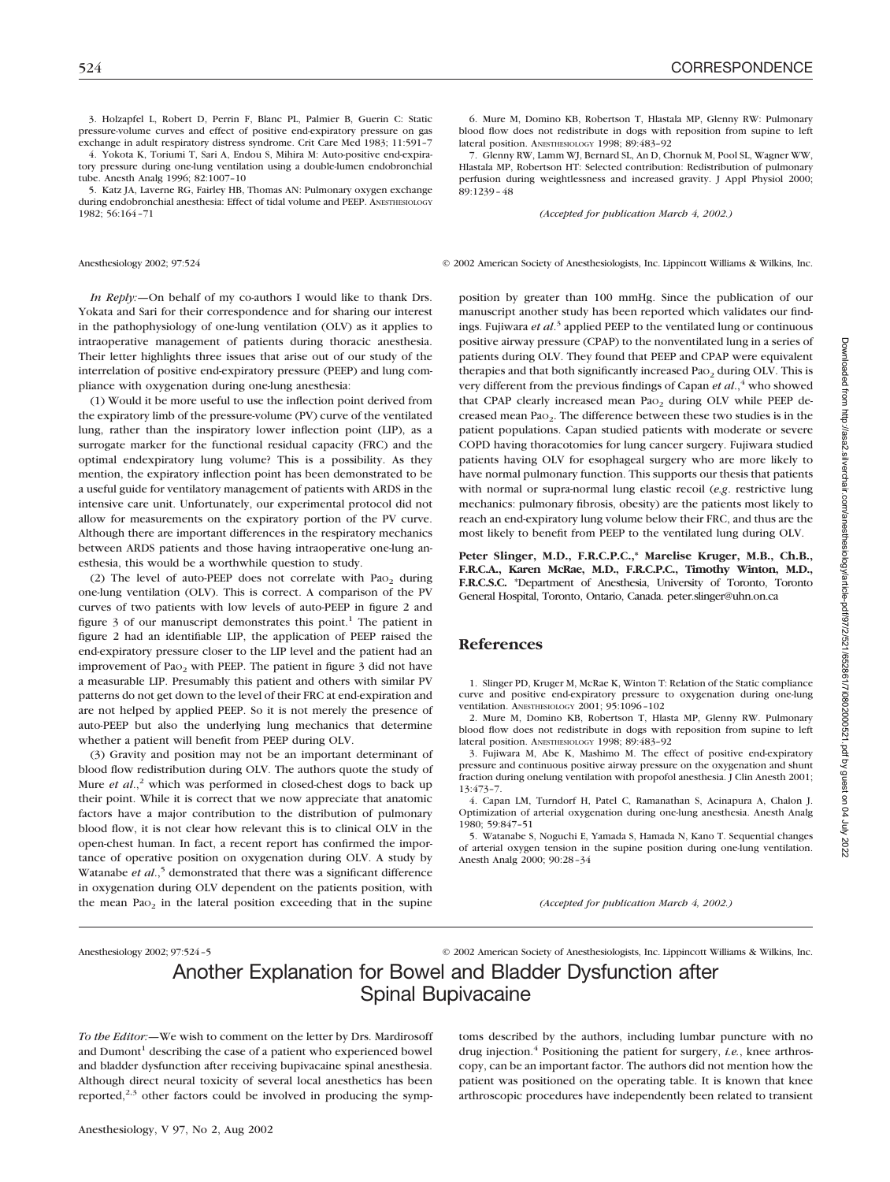3. Holzapfel L, Robert D, Perrin F, Blanc PL, Palmier B, Guerin C: Static pressure-volume curves and effect of positive end-expiratory pressure on gas exchange in adult respiratory distress syndrome. Crit Care Med 1983; 11:591–7

4. Yokota K, Toriumi T, Sari A, Endou S, Mihira M: Auto-positive end-expiratory pressure during one-lung ventilation using a double-lumen endobronchial tube. Anesth Analg 1996; 82:1007–10

5. Katz JA, Laverne RG, Fairley HB, Thomas AN: Pulmonary oxygen exchange during endobronchial anesthesia: Effect of tidal volume and PEEP. ANESTHESIOLOGY 1982; 56:164–71

*In Reply:—*On behalf of my co-authors I would like to thank Drs. Yokata and Sari for their correspondence and for sharing our interest in the pathophysiology of one-lung ventilation (OLV) as it applies to intraoperative management of patients during thoracic anesthesia. Their letter highlights three issues that arise out of our study of the interrelation of positive end-expiratory pressure (PEEP) and lung compliance with oxygenation during one-lung anesthesia:

(1) Would it be more useful to use the inflection point derived from the expiratory limb of the pressure-volume (PV) curve of the ventilated lung, rather than the inspiratory lower inflection point (LIP), as a surrogate marker for the functional residual capacity (FRC) and the optimal endexpiratory lung volume? This is a possibility. As they mention, the expiratory inflection point has been demonstrated to be a useful guide for ventilatory management of patients with ARDS in the intensive care unit. Unfortunately, our experimental protocol did not allow for measurements on the expiratory portion of the PV curve. Although there are important differences in the respiratory mechanics between ARDS patients and those having intraoperative one-lung anesthesia, this would be a worthwhile question to study.

(2) The level of auto-PEEP does not correlate with Pa $o<sub>2</sub>$  during one-lung ventilation (OLV). This is correct. A comparison of the PV curves of two patients with low levels of auto-PEEP in figure 2 and figure  $\beta$  of our manuscript demonstrates this point.<sup>1</sup> The patient in figure 2 had an identifiable LIP, the application of PEEP raised the end-expiratory pressure closer to the LIP level and the patient had an improvement of Pao<sub>2</sub> with PEEP. The patient in figure 3 did not have a measurable LIP. Presumably this patient and others with similar PV patterns do not get down to the level of their FRC at end-expiration and are not helped by applied PEEP. So it is not merely the presence of auto-PEEP but also the underlying lung mechanics that determine whether a patient will benefit from PEEP during OLV.

(3) Gravity and position may not be an important determinant of blood flow redistribution during OLV. The authors quote the study of Mure *et al.*,<sup>2</sup> which was performed in closed-chest dogs to back up their point. While it is correct that we now appreciate that anatomic factors have a major contribution to the distribution of pulmonary blood flow, it is not clear how relevant this is to clinical OLV in the open-chest human. In fact, a recent report has confirmed the importance of operative position on oxygenation during OLV. A study by Watanabe *et al.*,<sup>5</sup> demonstrated that there was a significant difference in oxygenation during OLV dependent on the patients position, with the mean Pa $o<sub>2</sub>$  in the lateral position exceeding that in the supine

6. Mure M, Domino KB, Robertson T, Hlastala MP, Glenny RW: Pulmonary blood flow does not redistribute in dogs with reposition from supine to left lateral position. ANESTHESIOLOGY 1998; 89:483–92

7. Glenny RW, Lamm WJ, Bernard SL, An D, Chornuk M, Pool SL, Wagner WW, Hlastala MP, Robertson HT: Selected contribution: Redistribution of pulmonary perfusion during weightlessness and increased gravity. J Appl Physiol 2000; 89:1239–48

*(Accepted for publication March 4, 2002.)*

Anesthesiology 2002; 97:524 © 2002 American Society of Anesthesiologists, Inc. Lippincott Williams & Wilkins, Inc.

position by greater than 100 mmHg. Since the publication of our manuscript another study has been reported which validates our findings. Fujiwara *et al*. <sup>3</sup> applied PEEP to the ventilated lung or continuous positive airway pressure (CPAP) to the nonventilated lung in a series of patients during OLV. They found that PEEP and CPAP were equivalent therapies and that both significantly increased Pa $o<sub>2</sub>$  during OLV. This is very different from the previous findings of Capan *et al.*,<sup>4</sup> who showed that CPAP clearly increased mean Pao<sub>2</sub> during OLV while PEEP decreased mean PaO2. The difference between these two studies is in the patient populations. Capan studied patients with moderate or severe COPD having thoracotomies for lung cancer surgery. Fujiwara studied patients having OLV for esophageal surgery who are more likely to have normal pulmonary function. This supports our thesis that patients with normal or supra-normal lung elastic recoil (*e.g*. restrictive lung mechanics: pulmonary fibrosis, obesity) are the patients most likely to reach an end-expiratory lung volume below their FRC, and thus are the most likely to benefit from PEEP to the ventilated lung during OLV.

**Peter Slinger, M.D., F.R.C.P.C.,\* Marelise Kruger, M.B., Ch.B., F.R.C.A., Karen McRae, M.D., F.R.C.P.C., Timothy Winton, M.D., F.R.C.S.C.** \*Department of Anesthesia, University of Toronto, Toronto General Hospital, Toronto, Ontario, Canada. peter.slinger@uhn.on.ca

## **References**

1. Slinger PD, Kruger M, McRae K, Winton T: Relation of the Static compliance curve and positive end-expiratory pressure to oxygenation during one-lung ventilation. ANESTHESIOLOGY 2001; 95:1096–102

2. Mure M, Domino KB, Robertson T, Hlasta MP, Glenny RW. Pulmonary blood flow does not redistribute in dogs with reposition from supine to left lateral position. ANESTHESIOLOGY 1998; 89:483–92

3. Fujiwara M, Abe K, Mashimo M. The effect of positive end-expiratory pressure and continuous positive airway pressure on the oxygenation and shunt fraction during onelung ventilation with propofol anesthesia. J Clin Anesth 2001; 13:473–7.

4. Capan LM, Turndorf H, Patel C, Ramanathan S, Acinapura A, Chalon J. Optimization of arterial oxygenation during one-lung anesthesia. Anesth Analg 1980; 59:847–51

5. Watanabe S, Noguchi E, Yamada S, Hamada N, Kano T. Sequential changes of arterial oxygen tension in the supine position during one-lung ventilation. Anesth Analg 2000; 90:28–34

*(Accepted for publication March 4, 2002.)*

Anesthesiology 2002; 97:524–5 © 2002 American Society of Anesthesiologists, Inc. Lippincott Williams & Wilkins, Inc.

# Another Explanation for Bowel and Bladder Dysfunction after Spinal Bupivacaine

*To the Editor:—*We wish to comment on the letter by Drs. Mardirosoff and Dumont<sup>1</sup> describing the case of a patient who experienced bowel and bladder dysfunction after receiving bupivacaine spinal anesthesia. Although direct neural toxicity of several local anesthetics has been reported, $2,3$  other factors could be involved in producing the symptoms described by the authors, including lumbar puncture with no drug injection.4 Positioning the patient for surgery, *i.e.*, knee arthroscopy, can be an important factor. The authors did not mention how the patient was positioned on the operating table. It is known that knee arthroscopic procedures have independently been related to transient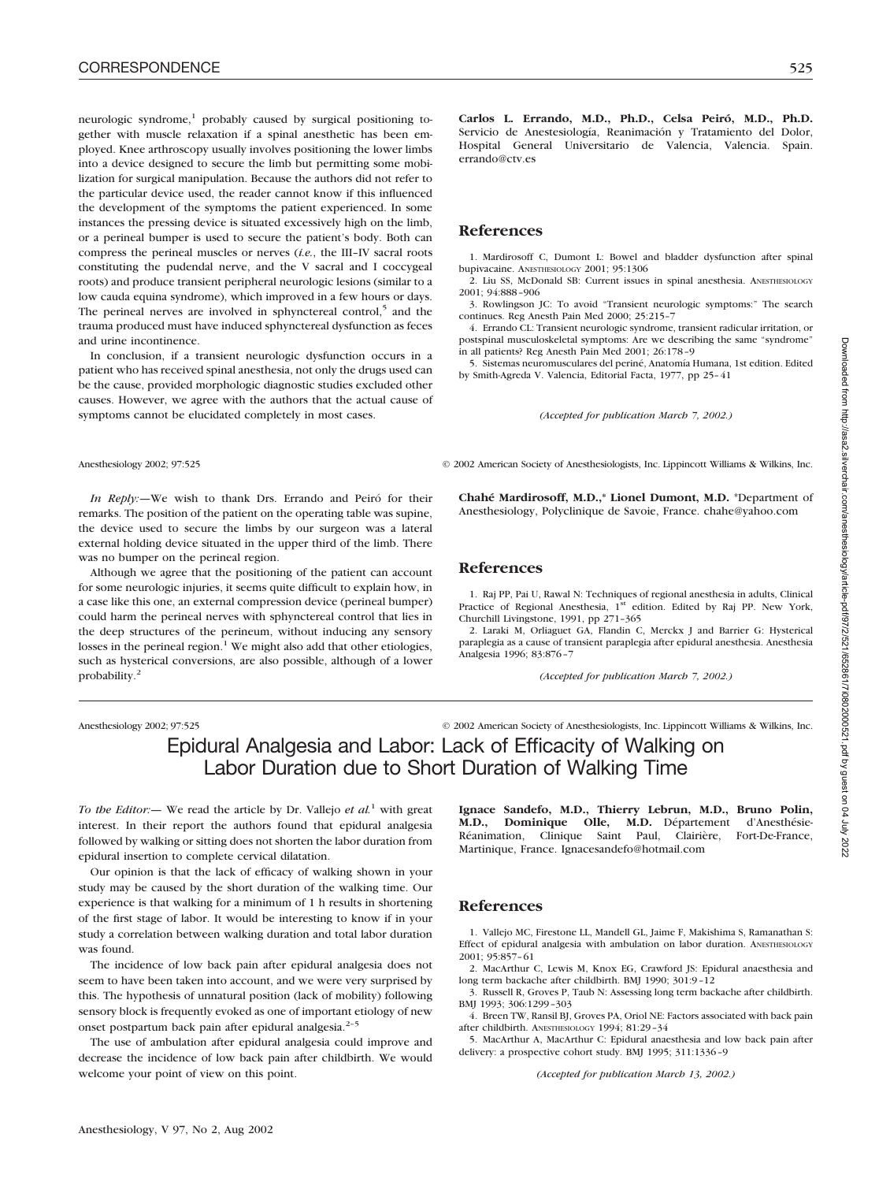neurologic syndrome, $1$  probably caused by surgical positioning together with muscle relaxation if a spinal anesthetic has been employed. Knee arthroscopy usually involves positioning the lower limbs into a device designed to secure the limb but permitting some mobilization for surgical manipulation. Because the authors did not refer to the particular device used, the reader cannot know if this influenced the development of the symptoms the patient experienced. In some instances the pressing device is situated excessively high on the limb, or a perineal bumper is used to secure the patient's body. Both can compress the perineal muscles or nerves (*i.e.*, the III–IV sacral roots constituting the pudendal nerve, and the V sacral and I coccygeal roots) and produce transient peripheral neurologic lesions (similar to a low cauda equina syndrome), which improved in a few hours or days. The perineal nerves are involved in sphynctereal control, $5$  and the trauma produced must have induced sphynctereal dysfunction as feces and urine incontinence.

In conclusion, if a transient neurologic dysfunction occurs in a patient who has received spinal anesthesia, not only the drugs used can be the cause, provided morphologic diagnostic studies excluded other causes. However, we agree with the authors that the actual cause of symptoms cannot be elucidated completely in most cases.

*In Reply:—*We wish to thank Drs. Errando and Peiró for their remarks. The position of the patient on the operating table was supine, the device used to secure the limbs by our surgeon was a lateral external holding device situated in the upper third of the limb. There was no bumper on the perineal region.

Although we agree that the positioning of the patient can account for some neurologic injuries, it seems quite difficult to explain how, in a case like this one, an external compression device (perineal bumper) could harm the perineal nerves with sphynctereal control that lies in the deep structures of the perineum, without inducing any sensory losses in the perineal region.<sup>1</sup> We might also add that other etiologies, such as hysterical conversions, are also possible, although of a lower probability.2

Anesthesiology 2002; 97:525 © 2002 American Society of Anesthesiologists, Inc. Lippincott Williams & Wilkins, Inc.

# Epidural Analgesia and Labor: Lack of Efficacity of Walking on Labor Duration due to Short Duration of Walking Time

*To the Editor:—* We read the article by Dr. Vallejo *et al.*<sup>1</sup> with great interest. In their report the authors found that epidural analgesia followed by walking or sitting does not shorten the labor duration from epidural insertion to complete cervical dilatation.

Our opinion is that the lack of efficacy of walking shown in your study may be caused by the short duration of the walking time. Our experience is that walking for a minimum of 1 h results in shortening of the first stage of labor. It would be interesting to know if in your study a correlation between walking duration and total labor duration was found.

The incidence of low back pain after epidural analgesia does not seem to have been taken into account, and we were very surprised by this. The hypothesis of unnatural position (lack of mobility) following sensory block is frequently evoked as one of important etiology of new onset postpartum back pain after epidural analgesia.<sup>2-5</sup>

The use of ambulation after epidural analgesia could improve and decrease the incidence of low back pain after childbirth. We would welcome your point of view on this point.

**Carlos L. Errando, M.D., Ph.D., Celsa Peiró, M.D., Ph.D.** Servicio de Anestesiología, Reanimación y Tratamiento del Dolor, Hospital General Universitario de Valencia, Valencia. Spain. errando@ctv.es

## **References**

1. Mardirosoff C, Dumont L: Bowel and bladder dysfunction after spinal bupivacaine. ANESTHESIOLOGY 2001; 95:1306

2. Liu SS, McDonald SB: Current issues in spinal anesthesia. ANESTHESIOLOGY 2001; 94:888–906

3. Rowlingson JC: To avoid "Transient neurologic symptoms:" The search continues. Reg Anesth Pain Med 2000; 25:215–7

4. Errando CL: Transient neurologic syndrome, transient radicular irritation, or postspinal musculoskeletal symptoms: Are we describing the same "syndrome" in all patients? Reg Anesth Pain Med 2001; 26:178–9

5. Sistemas neuromusculares del periné, Anatomía Humana, 1st edition. Edited by Smith-Agreda V. Valencia, Editorial Facta, 1977, pp 25–41

*(Accepted for publication March 7, 2002.)*

Anesthesiology 2002; 97:525 © 2002 American Society of Anesthesiologists, Inc. Lippincott Williams & Wilkins, Inc.

**Chahé Mardirosoff, M.D.,\* Lionel Dumont, M.D.** \*Department of Anesthesiology, Polyclinique de Savoie, France. chahe@yahoo.com

## **References**

1. Raj PP, Pai U, Rawal N: Techniques of regional anesthesia in adults, Clinical Practice of Regional Anesthesia, 1<sup>st</sup> edition. Edited by Raj PP. New York, Churchill Livingstone, 1991, pp 271–365

2. Laraki M, Orliaguet GA, Flandin C, Merckx J and Barrier G: Hysterical paraplegia as a cause of transient paraplegia after epidural anesthesia. Anesthesia Analgesia 1996; 83:876–7

*(Accepted for publication March 7, 2002.)*

**Ignace Sandefo, M.D., Thierry Lebrun, M.D., Bruno Polin, M.D., Dominique Olle, M.D.** Département d'Anesthésie-Réanimation, Clinique Saint Paul, Clairière, Fort-De-France, Martinique, France. Ignacesandefo@hotmail.com

## **References**

1. Vallejo MC, Firestone LL, Mandell GL, Jaime F, Makishima S, Ramanathan S: Effect of epidural analgesia with ambulation on labor duration. ANESTHESIOLOGY 2001; 95:857–61

2. MacArthur C, Lewis M, Knox EG, Crawford JS: Epidural anaesthesia and long term backache after childbirth. BMJ 1990; 301:9–12

3. Russell R, Groves P, Taub N: Assessing long term backache after childbirth. BMJ 1993; 306:1299–303

4. Breen TW, Ransil BJ, Groves PA, Oriol NE: Factors associated with back pain after childbirth. ANESTHESIOLOGY 1994; 81:29–34

5. MacArthur A, MacArthur C: Epidural anaesthesia and low back pain after delivery: a prospective cohort study. BMJ 1995; 311:1336–9

*(Accepted for publication March 13, 2002.)*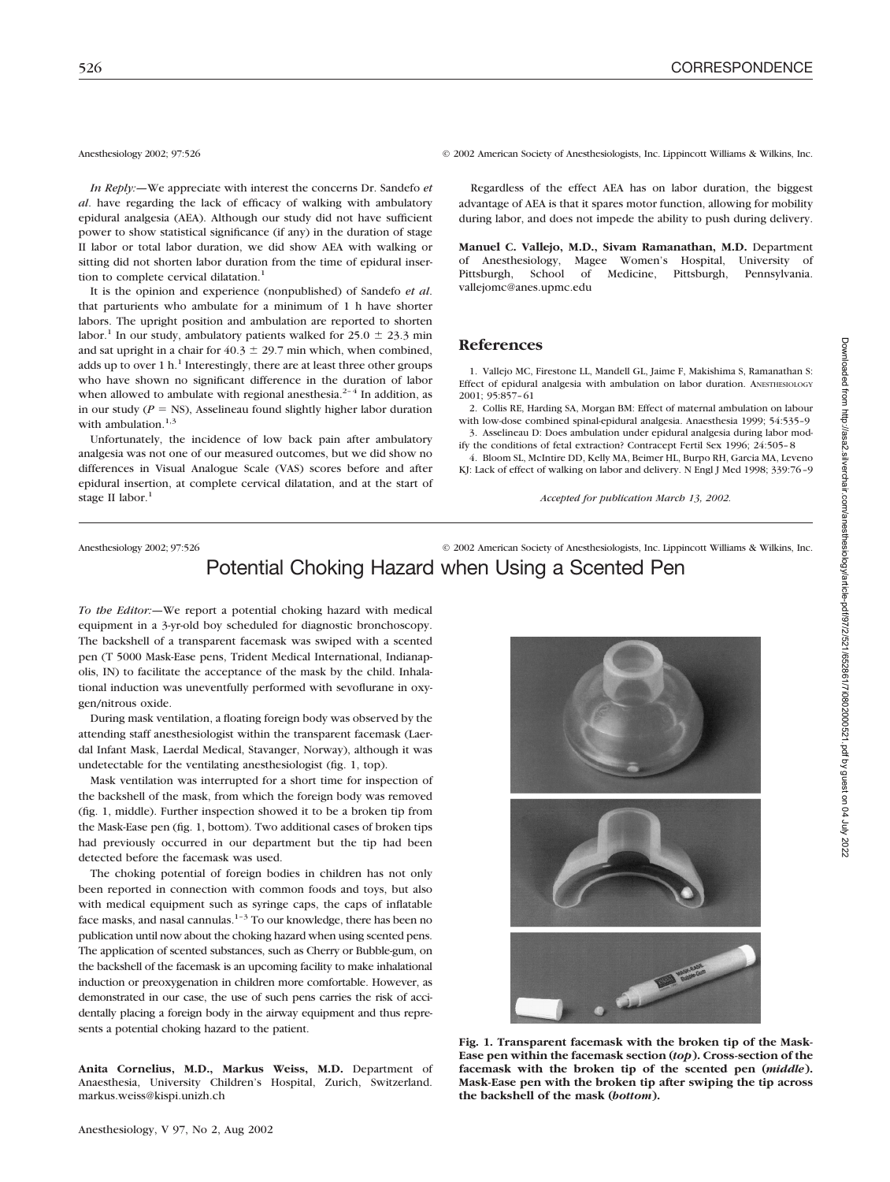*In Reply:—*We appreciate with interest the concerns Dr. Sandefo *et al*. have regarding the lack of efficacy of walking with ambulatory epidural analgesia (AEA). Although our study did not have sufficient power to show statistical significance (if any) in the duration of stage II labor or total labor duration, we did show AEA with walking or sitting did not shorten labor duration from the time of epidural insertion to complete cervical dilatation.<sup>1</sup>

It is the opinion and experience (nonpublished) of Sandefo *et al*. that parturients who ambulate for a minimum of 1 h have shorter labors. The upright position and ambulation are reported to shorten labor.<sup>1</sup> In our study, ambulatory patients walked for  $25.0 \pm 23.3$  min and sat upright in a chair for  $40.3 \pm 29.7$  min which, when combined, adds up to over 1 h.<sup>1</sup> Interestingly, there are at least three other groups who have shown no significant difference in the duration of labor when allowed to ambulate with regional anesthesia.<sup>2-4</sup> In addition, as in our study  $(P = NS)$ , Asselineau found slightly higher labor duration with ambulation. $1,3$ 

Unfortunately, the incidence of low back pain after ambulatory analgesia was not one of our measured outcomes, but we did show no differences in Visual Analogue Scale (VAS) scores before and after epidural insertion, at complete cervical dilatation, and at the start of stage II labor.<sup>1</sup>

Anesthesiology 2002; 97:526 © 2002 American Society of Anesthesiologists, Inc. Lippincott Williams & Wilkins, Inc.

Regardless of the effect AEA has on labor duration, the biggest advantage of AEA is that it spares motor function, allowing for mobility during labor, and does not impede the ability to push during delivery.

**Manuel C. Vallejo, M.D., Sivam Ramanathan, M.D.** Department of Anesthesiology, Magee Women's Hospital, University of Pittsburgh, School of Medicine, Pittsburgh, Pennsylvania. vallejomc@anes.upmc.edu

## **References**

1. Vallejo MC, Firestone LL, Mandell GL, Jaime F, Makishima S, Ramanathan S: Effect of epidural analgesia with ambulation on labor duration. ANESTHESIOLOGY 2001; 95:857–61

2. Collis RE, Harding SA, Morgan BM: Effect of maternal ambulation on labour with low-dose combined spinal-epidural analgesia. Anaesthesia 1999; 54:535–9

3. Asselineau D: Does ambulation under epidural analgesia during labor modify the conditions of fetal extraction? Contracept Fertil Sex 1996; 24:505–8 4. Bloom SL, McIntire DD, Kelly MA, Beimer HL, Burpo RH, Garcia MA, Leveno

KJ: Lack of effect of walking on labor and delivery. N Engl J Med 1998; 339:76–9

*Accepted for publication March 13, 2002.*

## Anesthesiology 2002; 97:526 © 2002 American Society of Anesthesiologists, Inc. Lippincott Williams & Wilkins, Inc. Potential Choking Hazard when Using a Scented Pen

*To the Editor:—*We report a potential choking hazard with medical equipment in a 3-yr-old boy scheduled for diagnostic bronchoscopy. The backshell of a transparent facemask was swiped with a scented pen (T 5000 Mask-Ease pens, Trident Medical International, Indianapolis, IN) to facilitate the acceptance of the mask by the child. Inhalational induction was uneventfully performed with sevoflurane in oxygen/nitrous oxide.

During mask ventilation, a floating foreign body was observed by the attending staff anesthesiologist within the transparent facemask (Laerdal Infant Mask, Laerdal Medical, Stavanger, Norway), although it was undetectable for the ventilating anesthesiologist (fig. 1, top).

Mask ventilation was interrupted for a short time for inspection of the backshell of the mask, from which the foreign body was removed (fig. 1, middle). Further inspection showed it to be a broken tip from the Mask-Ease pen (fig. 1, bottom). Two additional cases of broken tips had previously occurred in our department but the tip had been detected before the facemask was used.

The choking potential of foreign bodies in children has not only been reported in connection with common foods and toys, but also with medical equipment such as syringe caps, the caps of inflatable face masks, and nasal cannulas.<sup>1-3</sup> To our knowledge, there has been no publication until now about the choking hazard when using scented pens. The application of scented substances, such as Cherry or Bubble-gum, on the backshell of the facemask is an upcoming facility to make inhalational induction or preoxygenation in children more comfortable. However, as demonstrated in our case, the use of such pens carries the risk of accidentally placing a foreign body in the airway equipment and thus represents a potential choking hazard to the patient.

**Anita Cornelius, M.D., Markus Weiss, M.D.** Department of Anaesthesia, University Children's Hospital, Zurich, Switzerland. markus.weiss@kispi.unizh.ch

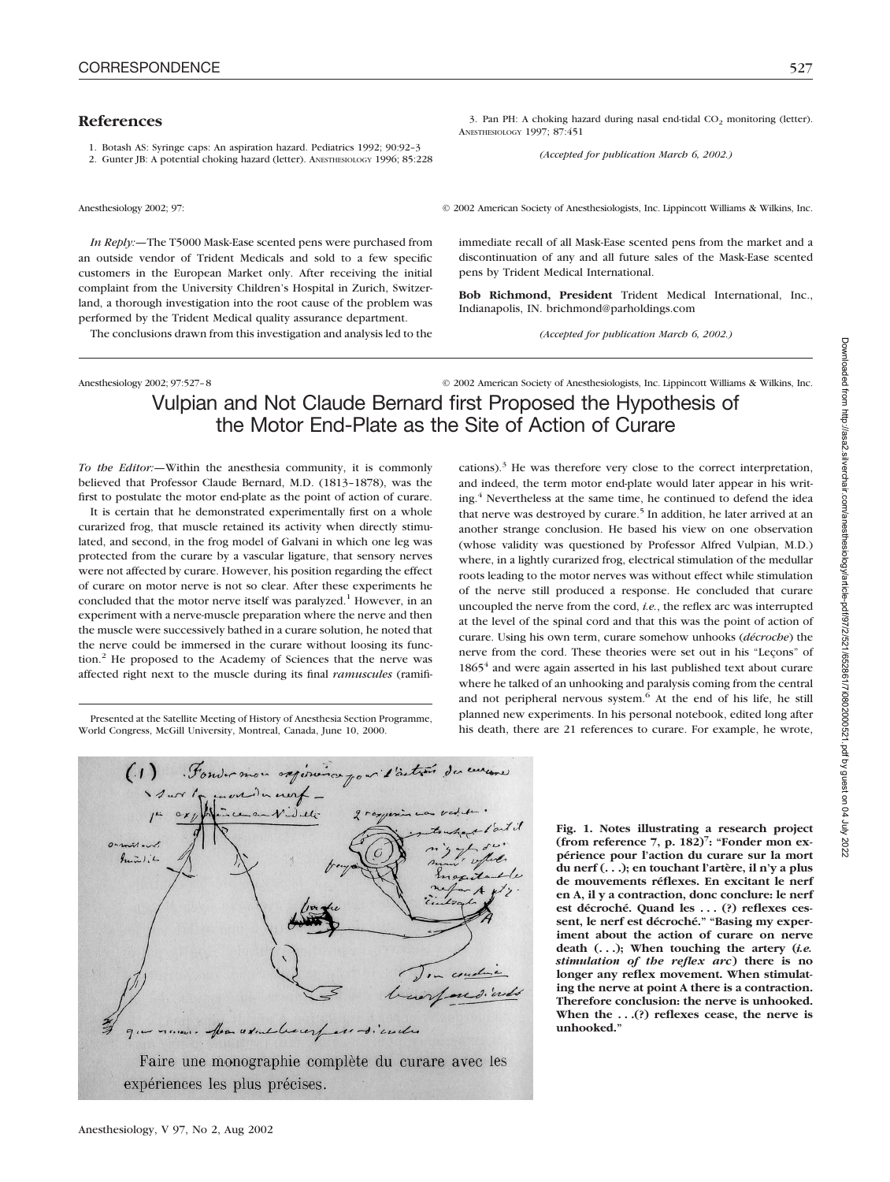## **References**

1. Botash AS: Syringe caps: An aspiration hazard. Pediatrics 1992; 90:92–3

2. Gunter JB: A potential choking hazard (letter). ANESTHESIOLOGY 1996; 85:228

Anesthesiology 2002; 97: © 2002 American Society of Anesthesiologists, Inc. Lippincott Williams & Wilkins, Inc.

immediate recall of all Mask-Ease scented pens from the market and a discontinuation of any and all future sales of the Mask-Ease scented

**Bob Richmond, President** Trident Medical International, Inc.,

*(Accepted for publication March 6, 2002.)*

3. Pan PH: A choking hazard during nasal end-tidal  $CO<sub>2</sub>$  monitoring (letter).

*(Accepted for publication March 6, 2002.)*

*In Reply:—*The T5000 Mask-Ease scented pens were purchased from an outside vendor of Trident Medicals and sold to a few specific customers in the European Market only. After receiving the initial complaint from the University Children's Hospital in Zurich, Switzerland, a thorough investigation into the root cause of the problem was performed by the Trident Medical quality assurance department.

The conclusions drawn from this investigation and analysis led to the

Anesthesiology 2002; 97:527–8 © 2002 American Society of Anesthesiologists, Inc. Lippincott Williams & Wilkins, Inc.

# Vulpian and Not Claude Bernard first Proposed the Hypothesis of the Motor End-Plate as the Site of Action of Curare

ANESTHESIOLOGY 1997; 87:451

pens by Trident Medical International.

Indianapolis, IN. brichmond@parholdings.com

*To the Editor:—*Within the anesthesia community, it is commonly believed that Professor Claude Bernard, M.D. (1813–1878), was the first to postulate the motor end-plate as the point of action of curare.

It is certain that he demonstrated experimentally first on a whole curarized frog, that muscle retained its activity when directly stimulated, and second, in the frog model of Galvani in which one leg was protected from the curare by a vascular ligature, that sensory nerves were not affected by curare. However, his position regarding the effect of curare on motor nerve is not so clear. After these experiments he concluded that the motor nerve itself was paralyzed.<sup>1</sup> However, in an experiment with a nerve-muscle preparation where the nerve and then the muscle were successively bathed in a curare solution, he noted that the nerve could be immersed in the curare without loosing its function.<sup>2</sup> He proposed to the Academy of Sciences that the nerve was affected right next to the muscle during its final *ramuscules* (ramifi-

Presented at the Satellite Meeting of History of Anesthesia Section Programme, World Congress, McGill University, Montreal, Canada, June 10, 2000.



Anesthesiology, V 97, No 2, Aug 2002

cations). $3$  He was therefore very close to the correct interpretation, and indeed, the term motor end-plate would later appear in his writing.<sup>4</sup> Nevertheless at the same time, he continued to defend the idea that nerve was destroyed by curare.<sup>5</sup> In addition, he later arrived at an another strange conclusion. He based his view on one observation (whose validity was questioned by Professor Alfred Vulpian, M.D.) where, in a lightly curarized frog, electrical stimulation of the medullar roots leading to the motor nerves was without effect while stimulation of the nerve still produced a response. He concluded that curare uncoupled the nerve from the cord, *i.e.*, the reflex arc was interrupted at the level of the spinal cord and that this was the point of action of curare. Using his own term, curare somehow unhooks (*décroche*) the nerve from the cord. These theories were set out in his "Leçons" of 1865<sup>4</sup> and were again asserted in his last published text about curare where he talked of an unhooking and paralysis coming from the central and not peripheral nervous system.<sup>6</sup> At the end of his life, he still planned new experiments. In his personal notebook, edited long after his death, there are 21 references to curare. For example, he wrote,

> **Fig. 1. Notes illustrating a research project (from reference 7, p. 182)7 : "Fonder mon expérience pour l'action du curare sur la mort du nerf (. . .); en touchant l'artère, il n'y a plus de mouvements réflexes. En excitant le nerf en A, il y a contraction, donc conclure: le nerf est décroché. Quand les . . . (?) reflexes cessent, le nerf est décroché." "Basing my experiment about the action of curare on nerve death (. . .); When touching the artery (***i.e. stimulation of the reflex arc***) there is no longer any reflex movement. When stimulating the nerve at point A there is a contraction. Therefore conclusion: the nerve is unhooked. When the . . .(?) reflexes cease, the nerve is unhooked."**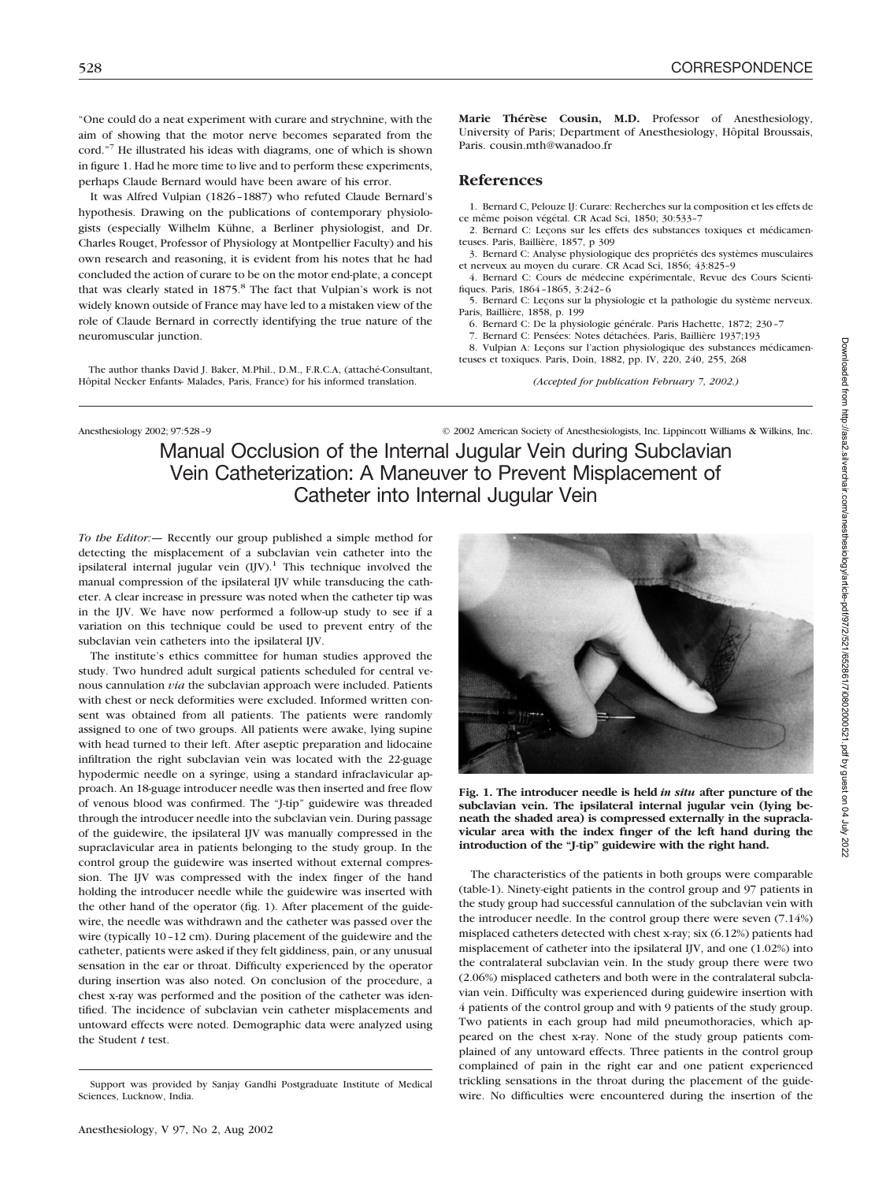"One could do a neat experiment with curare and strychnine, with the aim of showing that the motor nerve becomes separated from the cord."7 He illustrated his ideas with diagrams, one of which is shown in figure 1. Had he more time to live and to perform these experiments, perhaps Claude Bernard would have been aware of his error.

It was Alfred Vulpian (1826–1887) who refuted Claude Bernard's hypothesis. Drawing on the publications of contemporary physiologists (especially Wilhelm Kühne, a Berliner physiologist, and Dr. Charles Rouget, Professor of Physiology at Montpellier Faculty) and his own research and reasoning, it is evident from his notes that he had concluded the action of curare to be on the motor end-plate, a concept that was clearly stated in 1875.<sup>8</sup> The fact that Vulpian's work is not widely known outside of France may have led to a mistaken view of the role of Claude Bernard in correctly identifying the true nature of the neuromuscular junction.

The author thanks David J. Baker, M.Phil., D.M., F.R.C.A, (attaché-Consultant, Hôpital Necker Enfants- Malades, Paris, France) for his informed translation.

**Marie Thérèse Cousin, M.D.** Professor of Anesthesiology, University of Paris; Department of Anesthesiology, Hôpital Broussais, Paris. cousin.mth@wanadoo.fr

## **References**

1. Bernard C, Pelouze IJ: Curare: Recherches sur la composition et les effets de ce même poison végétal. CR Acad Sci, 1850; 30:533–7

2. Bernard C: Leçons sur les effets des substances toxiques et médicamenteuses. Paris, Baillière, 1857, p 309

3. Bernard C: Analyse physiologique des propriétés des systèmes musculaires et nerveux au moyen du curare. CR Acad Sci, 1856; 43:825–9

4. Bernard C: Cours de médecine expérimentale, Revue des Cours Scientifiques. Paris, 1864–1865, 3:242–6

5. Bernard C: Leçons sur la physiologie et la pathologie du système nerveux. Paris, Baillière, 1858, p. 199

6. Bernard C: De la physiologie générale. Paris Hachette, 1872; 230–7

7. Bernard C: Pensées: Notes détachées. Paris, Baillière 1937;193

8. Vulpian A: Leçons sur l'action physiologique des substances médicamenteuses et toxiques. Paris, Doin, 1882, pp. IV, 220, 240, 255, 268

*(Accepted for publication February 7, 2002.)*

Anesthesiology 2002; 97:528-9 © 2002 American Society of Anesthesiologists, Inc. Lippincott Williams & Wilkins, Inc.

Manual Occlusion of the Internal Jugular Vein during Subclavian Vein Catheterization: A Maneuver to Prevent Misplacement of Catheter into Internal Jugular Vein

*To the Editor:—* Recently our group published a simple method for detecting the misplacement of a subclavian vein catheter into the ipsilateral internal jugular vein  $(IIV)$ .<sup>1</sup> This technique involved the manual compression of the ipsilateral IJV while transducing the catheter. A clear increase in pressure was noted when the catheter tip was in the IJV. We have now performed a follow-up study to see if a variation on this technique could be used to prevent entry of the subclavian vein catheters into the ipsilateral IJV.

The institute's ethics committee for human studies approved the study. Two hundred adult surgical patients scheduled for central venous cannulation *via* the subclavian approach were included. Patients with chest or neck deformities were excluded. Informed written consent was obtained from all patients. The patients were randomly assigned to one of two groups. All patients were awake, lying supine with head turned to their left. After aseptic preparation and lidocaine infiltration the right subclavian vein was located with the 22-guage hypodermic needle on a syringe, using a standard infraclavicular approach. An 18-guage introducer needle was then inserted and free flow of venous blood was confirmed. The "J-tip" guidewire was threaded through the introducer needle into the subclavian vein. During passage of the guidewire, the ipsilateral IJV was manually compressed in the supraclavicular area in patients belonging to the study group. In the control group the guidewire was inserted without external compression. The IJV was compressed with the index finger of the hand holding the introducer needle while the guidewire was inserted with the other hand of the operator (fig. 1). After placement of the guidewire, the needle was withdrawn and the catheter was passed over the wire (typically 10–12 cm). During placement of the guidewire and the catheter, patients were asked if they felt giddiness, pain, or any unusual sensation in the ear or throat. Difficulty experienced by the operator during insertion was also noted. On conclusion of the procedure, a chest x-ray was performed and the position of the catheter was identified. The incidence of subclavian vein catheter misplacements and untoward effects were noted. Demographic data were analyzed using the Student *t* test.



**Fig. 1. The introducer needle is held** *in situ* **after puncture of the subclavian vein. The ipsilateral internal jugular vein (lying beneath the shaded area) is compressed externally in the supraclavicular area with the index finger of the left hand during the introduction of the "J-tip" guidewire with the right hand.**

The characteristics of the patients in both groups were comparable (table-1). Ninety-eight patients in the control group and 97 patients in the study group had successful cannulation of the subclavian vein with the introducer needle. In the control group there were seven (7.14%) misplaced catheters detected with chest x-ray; six (6.12%) patients had misplacement of catheter into the ipsilateral IJV, and one (1.02%) into the contralateral subclavian vein. In the study group there were two (2.06%) misplaced catheters and both were in the contralateral subclavian vein. Difficulty was experienced during guidewire insertion with 4 patients of the control group and with 9 patients of the study group. Two patients in each group had mild pneumothoracies, which appeared on the chest x-ray. None of the study group patients complained of any untoward effects. Three patients in the control group complained of pain in the right ear and one patient experienced trickling sensations in the throat during the placement of the guidewire. No difficulties were encountered during the insertion of the

Support was provided by Sanjay Gandhi Postgraduate Institute of Medical Sciences, Lucknow, India.